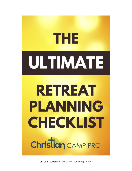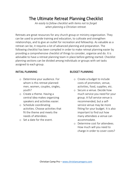### The Ultimate Retreat Planning Checklist

*An easily to follow checklist with items not to forget when planning a Christian retreat.*

Retreats are great resources for any church group or ministry organization. They can be used to provide training and education, to cultivate and strengthen relationships, and to give an outlet for recreation and fellowship. As valuable as a retreat can be, it requires a lot of advanced planning and preparation. The following checklist has been compiled in order to make retreat planning easier by providing a comprehensive checklist of things to consider, organize and do. It is advisable to have a retreat planning team in place before getting started. Checklist planning sections can be divided among individuals or groups with set tasks assigned to each group.

#### INITIAL PLANNING

- o Determine your audience. For whom is this retreat planned: men, women, couples, singles, youth?
- o Create a theme. Having a central idea makes organizing speakers and activities easier.
- o Schedule coordinating activities. Choose activities that fit the theme and meets the needs of attendees.
- o Set a date for the event.

#### BUDGET PLANNING

- o Create a budget to include costs of promotion, venue, activities, food, supplies, etc.
- o Secure a venue. Decide how much service you need for your group. A full service venue is recommended, but a selfservice venue may be more fitting for your budget. It is also important to find out how many attendees a venue can accommodate.
- o Determine cost for attendees. How much will you need to charge in order to cover costs?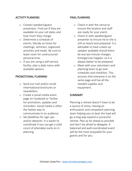#### ACTIVITY PLANNING

- o Contact speakers/guest presenters. Find out if they are available on your set dates and how much they charge.
- o Determine a schedule of events. Decide on times for meetings, seminars, organized activities and meals. Be sure to leave room for unstructured personal time.
- o If you are using a self-service facility, plan a daily menu with available options.

#### PROMOTIONAL PLANNING

- o Send out mail and/or email informational brochures or newsletters.
- o Create a social media event page on Facebook or Twitter for promotion, updates and reminders. Social media is often the fastest way to communicate to an audience.
- o Set deadlines for sign-ups and/or deposits. It is easier to coordinate if you can get a solid count of attendees early on in planning.

#### FINAL PLANNING

- o Check in with the venue to ensure the location and staff are ready for your event.
- o Check in with speaker/guest presenter to ensure he or she is still on board and prepared. It is advisable to have a back-up speaker available should there be any last minute changes. Emergencies happen, so it is always better to be prepared.
- o Meet with your volunteers and planning team to go over schedules and checklists. This ensures that everyone is on the same page and has all the needed supplies and equipment.

#### **SUMMARY**

Planning a retreat doesn't have to be a source of stress. Having an enthusiastic and competent planning team helping you to bear the load will go a long way toward a successful retreat. Plan as far ahead as possible and don't be afraid to delegate. A balanced and well-coordinated event will be the most enjoyable for your guests and for you.